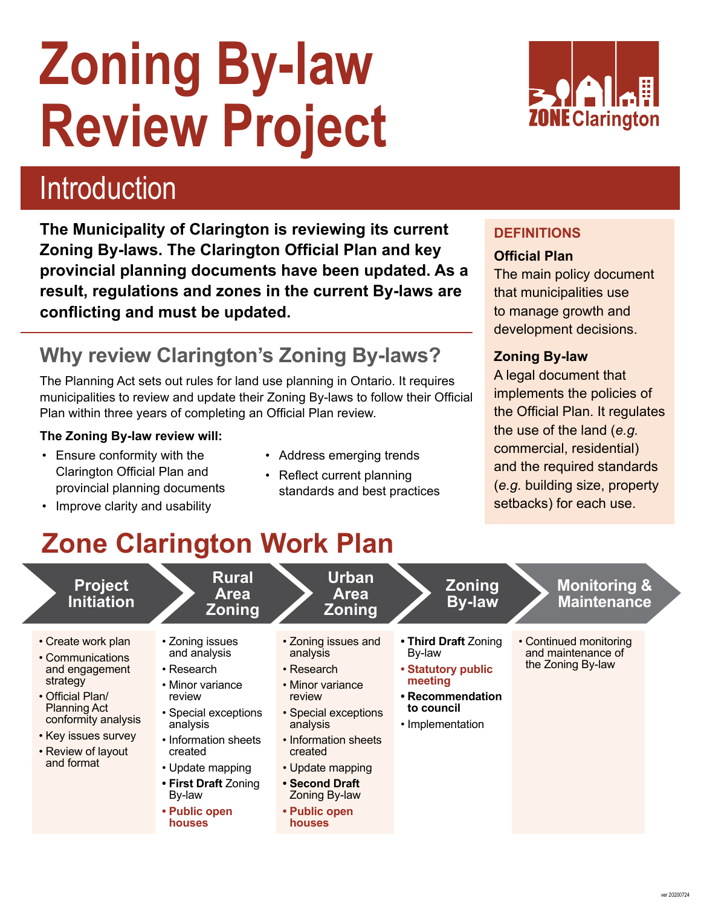# **Zoning By-law Review Project**



## Introduction

**The Municipality of Clarington is reviewing its current Zoning By-laws. The Clarington Official Plan and key provincial planning documents have been updated. As a result, regulations and zones in the current By-laws are conflicting and must be updated.**

## **Why review Clarington's Zoning By-laws?**

The Planning Act sets out rules for land use planning in Ontario. It requires municipalities to review and update their Zoning By-laws to follow their Official Plan within three years of completing an Official Plan review.

#### **The Zoning By-law review will:**

- Ensure conformity with the Address emerging trends Clarington Official Plan and<br>
provincial planning documents<br>
standards and best prace
- Improve clarity and usability
- 
- standards and best practices

#### **DEFINITIONS**

#### **Official Plan**

The main policy document that municipalities use to manage growth and development decisions.

#### **Zoning By-law**

A legal document that implements the policies of the Official Plan. It regulates the use of the land (*e.g.* commercial, residential) and the required standards (*e.g.* building size, property setbacks) for each use.

## **Zone Clarington Work Plan**

| • Create work plan<br>• Zoning issues and<br>• Zoning issues<br>• Third Draft Zoning<br>• Continued monitoring<br>and maintenance of<br>and analysis<br>analysis<br>By-law<br>• Communications<br>the Zoning By-law<br><b>• Statutory public</b><br>$\cdot$ Research<br>and engagement<br>• Research<br>meeting<br>strategy<br>• Minor variance<br>• Minor variance<br>• Official Plan/<br>• Recommendation<br>review<br>review<br><b>Planning Act</b><br>to council<br>• Special exceptions<br>• Special exceptions<br>conformity analysis<br>analysis<br>analysis<br>• Implementation<br>• Key issues survey<br>• Information sheets<br>• Information sheets<br>• Review of layout<br>created<br>created<br>and format<br>• Update mapping<br>• Update mapping<br>• Second Draft<br>• First Draft Zoning<br>Zoning By-law<br>By-law<br>• Public open<br>• Public open<br>houses<br>houses | <b>Project</b><br><b>Initiation</b> | <b>Rural</b><br><b>Area</b><br><b>Zoning</b> | Urban<br><b>Area</b><br><b>Zoning</b> | <b>Zoning</b><br><b>By-law</b> | <b>Monitoring &amp;</b><br><b>Maintenance</b> |  |
|---------------------------------------------------------------------------------------------------------------------------------------------------------------------------------------------------------------------------------------------------------------------------------------------------------------------------------------------------------------------------------------------------------------------------------------------------------------------------------------------------------------------------------------------------------------------------------------------------------------------------------------------------------------------------------------------------------------------------------------------------------------------------------------------------------------------------------------------------------------------------------------------|-------------------------------------|----------------------------------------------|---------------------------------------|--------------------------------|-----------------------------------------------|--|
|                                                                                                                                                                                                                                                                                                                                                                                                                                                                                                                                                                                                                                                                                                                                                                                                                                                                                             |                                     |                                              |                                       |                                |                                               |  |